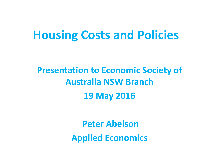## **Housing Costs and Policies**

### **Presentation to Economic Society of Australia NSW Branch 19 May 2016**

**Peter Abelson Applied Economics**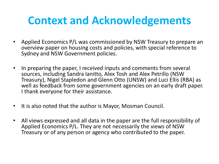### **Context and Acknowledgements**

- Applied Economics P/L was commissioned by NSW Treasury to prepare an overview paper on housing costs and policies, with special reference to Sydney and NSW Government policies.
- In preparing the paper, I received inputs and comments from several sources, including Sandra Ianitto, Alex Tosh and Alex Petrillo (NSW Treasury), Nigel Stapledon and Glenn Otto (UNSW) and Luci Ellis (RBA) as well as feedback from some government agencies on an early draft paper. I thank everyone for their assistance.
- It is also noted that the author is Mayor, Mosman Council.
- All views expressed and all data in the paper are the full responsibility of Applied Economics P/L. They are not necessarily the views of NSW Treasury or of any person or agency who contributed to the paper.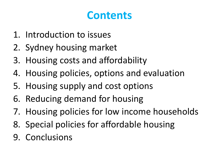### **Contents**

- 1. Introduction to issues
- 2. Sydney housing market
- 3. Housing costs and affordability
- 4. Housing policies, options and evaluation
- 5. Housing supply and cost options
- 6. Reducing demand for housing
- 7. Housing policies for low income households
- 8. Special policies for affordable housing
- 9. Conclusions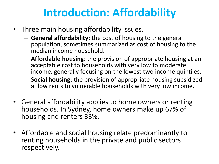## **Introduction: Affordability**

- Three main housing affordability issues.
	- **General affordability**: the cost of housing to the general population, sometimes summarized as cost of housing to the median income household.
	- **Affordable housing**: the provision of appropriate housing at an acceptable cost to households with very low to moderate income, generally focusing on the lowest two income quintiles.
	- **Social housing**: the provision of appropriate housing subsidized at low rents to vulnerable households with very low income.
- General affordability applies to home owners or renting households. In Sydney, home owners make up 67% of housing and renters 33%.
- Affordable and social housing relate predominantly to renting households in the private and public sectors respectively.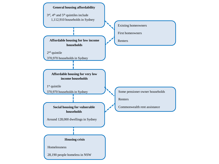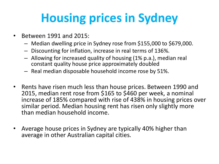# **Housing prices in Sydney**

- Between 1991 and 2015:
	- Median dwelling price in Sydney rose from \$155,000 to \$679,000.
	- Discounting for inflation, increase in real terms of 136%.
	- Allowing for increased quality of housing (1% p.a.), median real constant quality house price approximately doubled
	- Real median disposable household income rose by 51%.
- Rents have risen much less than house prices. Between 1990 and 2015, median rent rose from \$165 to \$460 per week, a nominal increase of 185% compared with rise of 438% in housing prices over similar period. Median housing rent has risen only slightly more than median household income.
- Average house prices in Sydney are typically 40% higher than average in other Australian capital cities.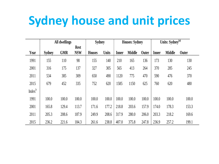# **Sydney house and unit prices**

|                    | All dwellings |            |                           | <b>Sydney</b> |              | <b>Houses: Sydney</b> |               |              | Units: Sydney <sup>(a)</sup> |               |              |
|--------------------|---------------|------------|---------------------------|---------------|--------------|-----------------------|---------------|--------------|------------------------------|---------------|--------------|
| Year               | <b>Sydney</b> | <b>GMR</b> | <b>Rest</b><br><b>NSW</b> | <b>Houses</b> | <b>Units</b> | <b>Inner</b>          | <b>Middle</b> | <b>Outer</b> | <b>Inner</b>                 | <b>Middle</b> | <b>Outer</b> |
| 1991               | 155           | 110        | 98                        | 155           | 140          | 210                   | 165           | 136          | 173                          | 130           | 130          |
| 2001               | 316           | 175        | 137                       | 327           | 305          | 565                   | 413           | 264          | 370                          | 285           | 245          |
| 2011               | 534           | 385        | 309                       | 650           | 490          | 1120                  | 775           | 470          | 590                          | 476           | 370          |
| 2015               | 679           | 452        | 335                       | 752           | 620          | 1585                  | 1150          | 625          | 760                          | 620           | 480          |
| Index <sup>b</sup> |               |            |                           |               |              |                       |               |              |                              |               |              |
| 1991               | 100.0         | 100.0      | 100.0                     | 100.0         | 100.0        | 100.0                 | 100.0         | 100.0        | 100.0                        | 100.0         | 100.0        |
| 2001               | 165.8         | 129.4      | 113.7                     | 171.6         | 177.2        | 218.8                 | 203.6         | 157.9        | 174.0                        | 178.3         | 153.3        |
| 2011               | 205.3         | 208.6      | 187.9                     | 249.9         | 208.6        | 317.9                 | 280.0         | 206.0        | 203.3                        | 218.2         | 169.6        |
| 2015               | 236.2         | 221.6      | 184.3                     | 261.6         | 238.8        | 407.0                 | 375.8         | 247.8        | 236.9                        | 257.2         | 199.1        |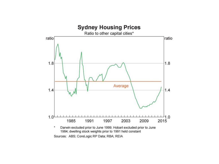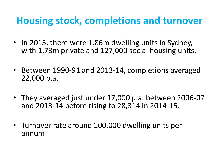### **Housing stock, completions and turnover**

- In 2015, there were 1.86m dwelling units in Sydney, with 1.73m private and 127,000 social housing units.
- Between 1990-91 and 2013-14, completions averaged 22,000 p.a.
- They averaged just under 17,000 p.a. between 2006-07 and 2013-14 before rising to 28,314 in 2014-15.
- Turnover rate around 100,000 dwelling units per annum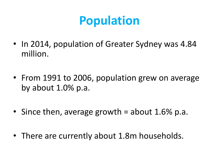# **Population**

- In 2014, population of Greater Sydney was 4.84 million.
- From 1991 to 2006, population grew on average by about 1.0% p.a.
- Since then, average growth  $=$  about 1.6% p.a.
- There are currently about 1.8m households.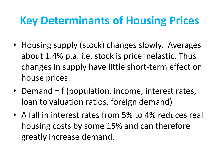## **Key Determinants of Housing Prices**

- Housing supply (stock) changes slowly. Averages about 1.4% p.a. i.e. stock is price inelastic. Thus changes in supply have little short-term effect on house prices.
- Demand = f (population, income, interest rates, loan to valuation ratios, foreign demand)
- A fall in interest rates from 5% to 4% reduces real housing costs by some 15% and can therefore greatly increase demand.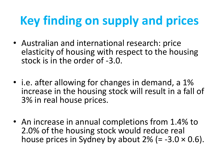# **Key finding on supply and prices**

- Australian and international research: price elasticity of housing with respect to the housing stock is in the order of -3.0.
- *i.e.* after allowing for changes in demand, a 1% increase in the housing stock will result in a fall of 3% in real house prices.
- An increase in annual completions from 1.4% to 2.0% of the housing stock would reduce real house prices in Sydney by about  $2\%$  (= -3.0  $\times$  0.6).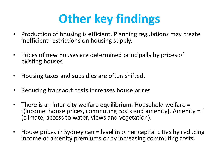# **Other key findings**

- Production of housing is efficient. Planning regulations may create inefficient restrictions on housing supply.
- Prices of new houses are determined principally by prices of existing houses
- Housing taxes and subsidies are often shifted.
- Reducing transport costs increases house prices.
- There is an inter-city welfare equilibrium. Household welfare = f(income, house prices, commuting costs and amenity). Amenity  $= f$ (climate, access to water, views and vegetation).
- House prices in Sydney can = level in other capital cities by reducing income or amenity premiums or by increasing commuting costs.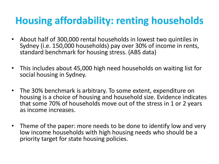### **Housing affordability: renting households**

- About half of 300,000 rental households in lowest two quintiles in Sydney (i.e. 150,000 households) pay over 30% of income in rents, standard benchmark for housing stress. (ABS data)
- This includes about 45,000 high need households on waiting list for social housing in Sydney.
- The 30% benchmark is arbitrary. To some extent, expenditure on housing is a choice of housing and household size. Evidence indicates that some 70% of households move out of the stress in 1 or 2 years as income increases.
- Theme of the paper: more needs to be done to identify low and very low income households with high housing needs who should be a priority target for state housing policies.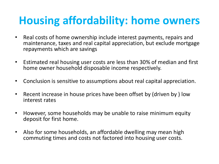## **Housing affordability: home owners**

- Real costs of home ownership include interest payments, repairs and maintenance, taxes and real capital appreciation, but exclude mortgage repayments which are savings
- Estimated real housing user costs are less than 30% of median and first home owner household disposable income respectively.
- Conclusion is sensitive to assumptions about real capital appreciation.
- Recent increase in house prices have been offset by (driven by ) low interest rates
- However, some households may be unable to raise minimum equity deposit for first home.
- Also for some households, an affordable dwelling may mean high commuting times and costs not factored into housing user costs.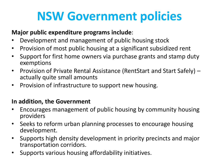# **NSW Government policies**

#### **Major public expenditure programs include**:

- Development and management of public housing stock
- Provision of most public housing at a significant subsidized rent
- Support for first home owners via purchase grants and stamp duty exemptions
- Provision of Private Rental Assistance (RentStart and Start Safely) actually quite small amounts
- Provision of infrastructure to support new housing.

#### **In addition, the Government**

- Encourages management of public housing by community housing providers
- Seeks to reform urban planning processes to encourage housing development.
- Supports high density development in priority precincts and major transportation corridors.
- Supports various housing affordability initiatives.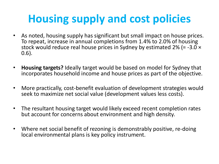## **Housing supply and cost policies**

- As noted, housing supply has significant but small impact on house prices. To repeat, increase in annual completions from 1.4% to 2.0% of housing stock would reduce real house prices in Sydney by estimated 2% (= -3.0 × 0.6).
- **Housing targets?** Ideally target would be based on model for Sydney that incorporates household income and house prices as part of the objective.
- More practically, cost-benefit evaluation of development strategies would seek to maximize net social value (development values less costs).
- The resultant housing target would likely exceed recent completion rates but account for concerns about environment and high density.
- Where net social benefit of rezoning is demonstrably positive, re-doing local environmental plans is key policy instrument.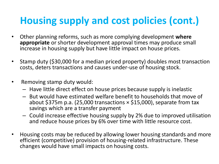### **Housing supply and cost policies (cont.)**

- Other planning reforms, such as more complying development **where appropriate** or shorter development approval times may produce small increase in housing supply but have little impact on house prices.
- Stamp duty (\$30,000 for a median priced property) doubles most transaction costs, deters transactions and causes under-use of housing stock.
- Removing stamp duty would:
	- Have little direct effect on house prices because supply is inelastic
	- But would have estimated welfare benefit to households that move of about \$375m p.a. (25,000 transactions  $\times$  \$15,000), separate from tax savings which are a transfer payment
	- Could increase effective housing supply by 2% due to improved utilisation and reduce house prices by 6% over time with little resource cost.
- Housing costs may be reduced by allowing lower housing standards and more efficient (competitive) provision of housing-related infrastructure. These changes would have small impacts on housing costs.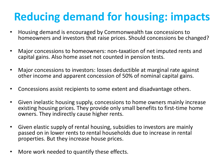# **Reducing demand for housing: impacts**

- Housing demand is encouraged by Commonwealth tax concessions to homeowners and investors that raise prices. Should concessions be changed?
- Major concessions to homeowners: non-taxation of net imputed rents and capital gains. Also home asset not counted in pension tests.
- Major concessions to investors: losses deductible at marginal rate against other income and apparent concession of 50% of nominal capital gains.
- Concessions assist recipients to some extent and disadvantage others.
- Given inelastic housing supply, concessions to home owners mainly increase existing housing prices. They provide only small benefits to first-time home owners. They indirectly cause higher rents.
- Given elastic supply of rental housing, subsidies to investors are mainly passed on in lower rents to rental households due to increase in rental properties. But they increase house prices.
- More work needed to quantify these effects.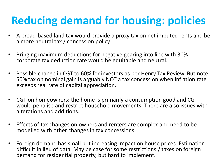# **Reducing demand for housing: policies**

- A broad-based land tax would provide a proxy tax on net imputed rents and be a more neutral tax / concession policy .
- Bringing maximum deductions for negative gearing into line with 30% corporate tax deduction rate would be equitable and neutral.
- Possible change in CGT to 60% for investors as per Henry Tax Review. But note: 50% tax on nominal gain is arguably NOT a tax concession when inflation rate exceeds real rate of capital appreciation.
- CGT on homeowners: the home is primarily a consumption good and CGT would penalise and restrict household movements. There are also issues with alterations and additions.
- Effects of tax changes on owners and renters are complex and need to be modelled with other changes in tax concessions.
- Foreign demand has small but increasing impact on house prices. Estimation difficult in lieu of data. May be case for some restrictions / taxes on foreign demand for residential property, but hard to implement.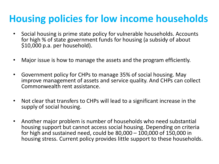### **Housing policies for low income households**

- Social housing is prime state policy for vulnerable households. Accounts for high % of state government funds for housing (a subsidy of about \$10,000 p.a. per household).
- Major issue is how to manage the assets and the program efficiently.
- Government policy for CHPs to manage 35% of social housing. May improve management of assets and service quality. And CHPs can collect Commonwealth rent assistance.
- Not clear that transfers to CHPs will lead to a significant increase in the supply of social housing.
- Another major problem is number of households who need substantial housing support but cannot access social housing. Depending on criteria for high and sustained need, could be 80,000 – 100,000 of 150,000 in housing stress. Current policy provides little support to these households.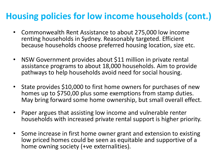### **Housing policies for low income households (cont.)**

- Commonwealth Rent Assistance to about 275,000 low income renting households in Sydney. Reasonably targeted. Efficient because households choose preferred housing location, size etc.
- NSW Government provides about \$11 million in private rental assistance programs to about 18,000 households. Aim to provide pathways to help households avoid need for social housing.
- State provides \$10,000 to first home owners for purchases of new homes up to \$750,00 plus some exemptions from stamp duties. May bring forward some home ownership, but small overall effect.
- Paper argues that assisting low income and vulnerable renter households with increased private rental support is higher priority.
- Some increase in first home owner grant and extension to existing low priced homes could be seen as equitable and supportive of a home owning society (+ve externalities).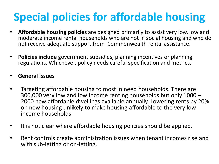# **Special policies for affordable housing**

- **Affordable housing policies** are designed primarily to assist very low, low and moderate income rental households who are not in social housing and who do not receive adequate support from Commonwealth rental assistance.
- **Policies include** government subsidies, planning incentives or planning regulations. Whichever, policy needs careful specification and metrics.
- **General issues**
- Targeting affordable housing to most in need households. There are 300,000 very low and low income renting households but only 1000 – 2000 new affordable dwellings available annually. Lowering rents by 20% on new housing unlikely to make housing affordable to the very low income households
- It is not clear where affordable housing policies should be applied.
- Rent controls create administration issues when tenant incomes rise and with sub-letting or on-letting.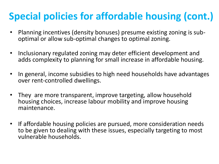### **Special policies for affordable housing (cont.)**

- Planning incentives (density bonuses) presume existing zoning is suboptimal or allow sub-optimal changes to optimal zoning.
- Inclusionary regulated zoning may deter efficient development and adds complexity to planning for small increase in affordable housing.
- In general, income subsidies to high need households have advantages over rent-controlled dwellings.
- They are more transparent, improve targeting, allow household housing choices, increase labour mobility and improve housing maintenance.
- If affordable housing policies are pursued, more consideration needs to be given to dealing with these issues, especially targeting to most vulnerable households.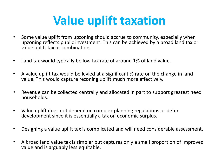# **Value uplift taxation**

- Some value uplift from upzoning should accrue to community, especially when upzoning reflects public investment. This can be achieved by a broad land tax or value uplift tax or combination.
- Land tax would typically be low tax rate of around 1% of land value.
- A value uplift tax would be levied at a significant % rate on the change in land value. This would capture rezoning uplift much more effectively.
- Revenue can be collected centrally and allocated in part to support greatest need households.
- Value uplift does not depend on complex planning regulations or deter development since it is essentially a tax on economic surplus.
- Designing a value uplift tax is complicated and will need considerable assessment.
- A broad land value tax is simpler but captures only a small proportion of improved value and is arguably less equitable.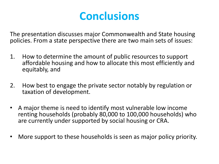### **Conclusions**

The presentation discusses major Commonwealth and State housing policies. From a state perspective there are two main sets of issues:

- 1. How to determine the amount of public resources to support affordable housing and how to allocate this most efficiently and equitably, and
- 2. How best to engage the private sector notably by regulation or taxation of development.
- A major theme is need to identify most vulnerable low income renting households (probably 80,000 to 100,000 households) who are currently under supported by social housing or CRA.
- More support to these households is seen as major policy priority.